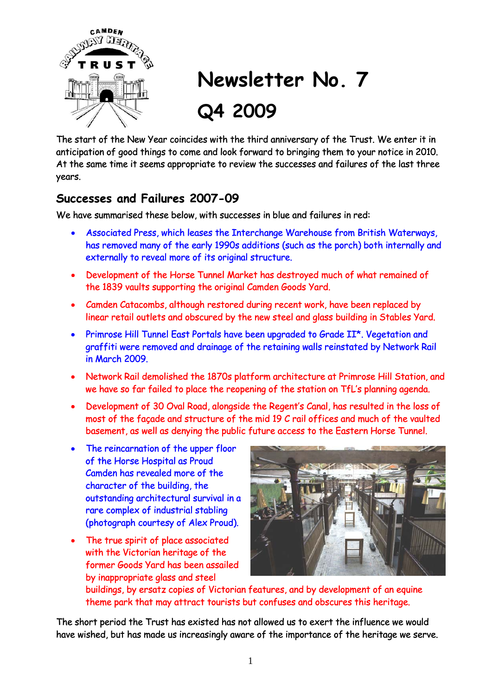

# **Newsletter No. 7 Q4 2009**

The start of the New Year coincides with the third anniversary of the Trust. We enter it in anticipation of good things to come and look forward to bringing them to your notice in 2010. At the same time it seems appropriate to review the successes and failures of the last three years.

### **Successes and Failures 2007-09**

We have summarised these below, with successes in blue and failures in red:

- Associated Press, which leases the Interchange Warehouse from British Waterways, has removed many of the early 1990s additions (such as the porch) both internally and externally to reveal more of its original structure.
- Development of the Horse Tunnel Market has destroyed much of what remained of the 1839 vaults supporting the original Camden Goods Yard.
- Camden Catacombs, although restored during recent work, have been replaced by linear retail outlets and obscured by the new steel and glass building in Stables Yard.
- Primrose Hill Tunnel East Portals have been upgraded to Grade II\*. Vegetation and graffiti were removed and drainage of the retaining walls reinstated by Network Rail in March 2009.
- Network Rail demolished the 1870s platform architecture at Primrose Hill Station, and we have so far failed to place the reopening of the station on TfL's planning agenda.
- Development of 30 Oval Road, alongside the Regent's Canal, has resulted in the loss of most of the façade and structure of the mid 19 C rail offices and much of the vaulted basement, as well as denying the public future access to the Eastern Horse Tunnel.
- The reincarnation of the upper floor of the Horse Hospital as Proud Camden has revealed more of the character of the building, the outstanding architectural survival in a rare complex of industrial stabling (photograph courtesy of Alex Proud).
- The true spirit of place associated with the Victorian heritage of the former Goods Yard has been assailed by inappropriate glass and steel



buildings, by ersatz copies of Victorian features, and by development of an equine theme park that may attract tourists but confuses and obscures this heritage.

The short period the Trust has existed has not allowed us to exert the influence we would have wished, but has made us increasingly aware of the importance of the heritage we serve.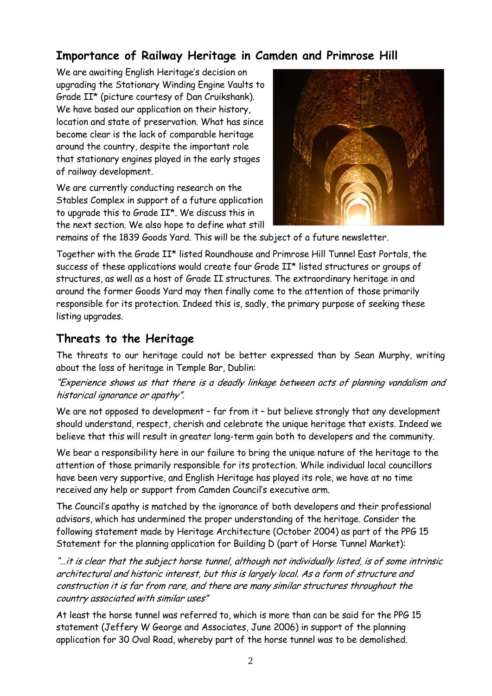## **Importance of Railway Heritage in Camden and Primrose Hill**

We are awaiting English Heritage's decision on upgrading the Stationary Winding Engine Vaults to Grade II\* (picture courtesy of Dan Cruikshank). We have based our application on their history, location and state of preservation. What has since become clear is the lack of comparable heritage around the country, despite the important role that stationary engines played in the early stages of railway development.

We are currently conducting research on the Stables Complex in support of a future application to upgrade this to Grade II\*. We discuss this in the next section. We also hope to define what still



remains of the 1839 Goods Yard. This will be the subject of a future newsletter.

Together with the Grade II\* listed Roundhouse and Primrose Hill Tunnel East Portals, the success of these applications would create four Grade II\* listed structures or groups of structures, as well as a host of Grade II structures. The extraordinary heritage in and around the former Goods Yard may then finally come to the attention of those primarily responsible for its protection. Indeed this is, sadly, the primary purpose of seeking these listing upgrades.

#### **Threats to the Heritage**

The threats to our heritage could not be better expressed than by Sean Murphy, writing about the loss of heritage in Temple Bar, Dublin:

#### "Experience shows us that there is a deadly linkage between acts of planning vandalism and historical ignorance or apathy".

We are not opposed to development - far from it - but believe strongly that any development should understand, respect, cherish and celebrate the unique heritage that exists. Indeed we believe that this will result in greater long-term gain both to developers and the community.

We bear a responsibility here in our failure to bring the unique nature of the heritage to the attention of those primarily responsible for its protection. While individual local councillors have been very supportive, and English Heritage has played its role, we have at no time received any help or support from Camden Council's executive arm.

The Council's apathy is matched by the ignorance of both developers and their professional advisors, which has undermined the proper understanding of the heritage. Consider the following statement made by Heritage Architecture (October 2004) as part of the PPG 15 Statement for the planning application for Building D (part of Horse Tunnel Market):

"…it is clear that the subject horse tunnel, although not individually listed, is of some intrinsic architectural and historic interest, but this is largely local. As a form of structure and construction it is far from rare, and there are many similar structures throughout the country associated with similar uses"

At least the horse tunnel was referred to, which is more than can be said for the PPG 15 statement (Jeffery W George and Associates, June 2006) in support of the planning application for 30 Oval Road, whereby part of the horse tunnel was to be demolished.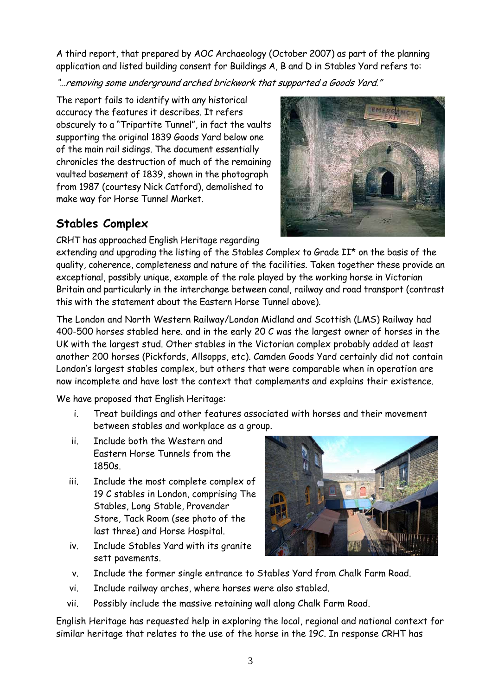A third report, that prepared by AOC Archaeology (October 2007) as part of the planning application and listed building consent for Buildings A, B and D in Stables Yard refers to:

"…removing some underground arched brickwork that supported a Goods Yard."

The report fails to identify with any historical accuracy the features it describes. It refers obscurely to a "Tripartite Tunnel", in fact the vaults supporting the original 1839 Goods Yard below one of the main rail sidings. The document essentially chronicles the destruction of much of the remaining vaulted basement of 1839, shown in the photograph from 1987 (courtesy Nick Catford), demolished to make way for Horse Tunnel Market.

## **Stables Complex**

CRHT has approached English Heritage regarding

extending and upgrading the listing of the Stables Complex to Grade II\* on the basis of the quality, coherence, completeness and nature of the facilities. Taken together these provide an exceptional, possibly unique, example of the role played by the working horse in Victorian Britain and particularly in the interchange between canal, railway and road transport (contrast this with the statement about the Eastern Horse Tunnel above).

The London and North Western Railway/London Midland and Scottish (LMS) Railway had 400-500 horses stabled here. and in the early 20 C was the largest owner of horses in the UK with the largest stud. Other stables in the Victorian complex probably added at least another 200 horses (Pickfords, Allsopps, etc). Camden Goods Yard certainly did not contain London's largest stables complex, but others that were comparable when in operation are now incomplete and have lost the context that complements and explains their existence.

We have proposed that English Heritage:

- i. Treat buildings and other features associated with horses and their movement between stables and workplace as a group.
- ii. Include both the Western and Eastern Horse Tunnels from the 1850s.
- iii. Include the most complete complex of 19 C stables in London, comprising The Stables, Long Stable, Provender Store, Tack Room (see photo of the last three) and Horse Hospital.
- iv. Include Stables Yard with its granite sett pavements.



- v. Include the former single entrance to Stables Yard from Chalk Farm Road.
- vi. Include railway arches, where horses were also stabled.
- vii. Possibly include the massive retaining wall along Chalk Farm Road.

English Heritage has requested help in exploring the local, regional and national context for similar heritage that relates to the use of the horse in the 19C. In response CRHT has